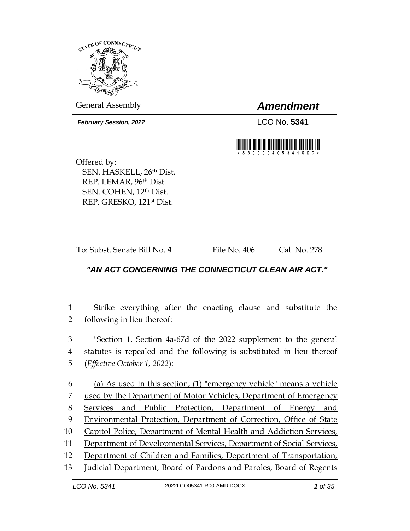

General Assembly *Amendment*

*February Session, 2022* LCO No. **5341**



Offered by: SEN. HASKELL, 26th Dist. REP. LEMAR, 96th Dist. SEN. COHEN, 12th Dist. REP. GRESKO, 121st Dist.

To: Subst. Senate Bill No. **4** File No. 406 Cal. No. 278

# *"AN ACT CONCERNING THE CONNECTICUT CLEAN AIR ACT."*

1 Strike everything after the enacting clause and substitute the 2 following in lieu thereof:

3 "Section 1. Section 4a-67d of the 2022 supplement to the general 4 statutes is repealed and the following is substituted in lieu thereof 5 (*Effective October 1, 2022*):

 (a) As used in this section, (1) "emergency vehicle" means a vehicle used by the Department of Motor Vehicles, Department of Emergency Services and Public Protection, Department of Energy and Environmental Protection, Department of Correction, Office of State Capitol Police, Department of Mental Health and Addiction Services, Department of Developmental Services, Department of Social Services, Department of Children and Families, Department of Transportation,

13 Judicial Department, Board of Pardons and Paroles, Board of Regents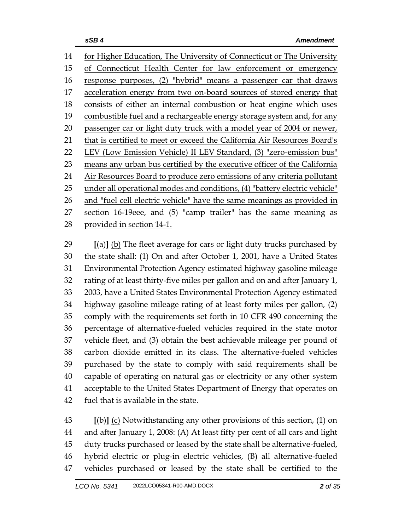for Higher Education, The University of Connecticut or The University of Connecticut Health Center for law enforcement or emergency response purposes, (2) "hybrid" means a passenger car that draws acceleration energy from two on-board sources of stored energy that consists of either an internal combustion or heat engine which uses 19 combustible fuel and a rechargeable energy storage system and, for any 20 passenger car or light duty truck with a model year of 2004 or newer, that is certified to meet or exceed the California Air Resources Board's LEV (Low Emission Vehicle) II LEV Standard, (3) "zero-emission bus" 23 means any urban bus certified by the executive officer of the California 24 Air Resources Board to produce zero emissions of any criteria pollutant 25 under all operational modes and conditions, (4) "battery electric vehicle" 26 and "fuel cell electric vehicle" have the same meanings as provided in section 16-19eee, and (5) "camp trailer" has the same meaning as provided in section 14-1.

 **[**(a)**]** (b) The fleet average for cars or light duty trucks purchased by the state shall: (1) On and after October 1, 2001, have a United States Environmental Protection Agency estimated highway gasoline mileage rating of at least thirty-five miles per gallon and on and after January 1, 2003, have a United States Environmental Protection Agency estimated highway gasoline mileage rating of at least forty miles per gallon, (2) comply with the requirements set forth in 10 CFR 490 concerning the percentage of alternative-fueled vehicles required in the state motor vehicle fleet, and (3) obtain the best achievable mileage per pound of carbon dioxide emitted in its class. The alternative-fueled vehicles purchased by the state to comply with said requirements shall be capable of operating on natural gas or electricity or any other system acceptable to the United States Department of Energy that operates on fuel that is available in the state.

 **[**(b)**]** (c) Notwithstanding any other provisions of this section, (1) on and after January 1, 2008: (A) At least fifty per cent of all cars and light duty trucks purchased or leased by the state shall be alternative-fueled, hybrid electric or plug-in electric vehicles, (B) all alternative-fueled vehicles purchased or leased by the state shall be certified to the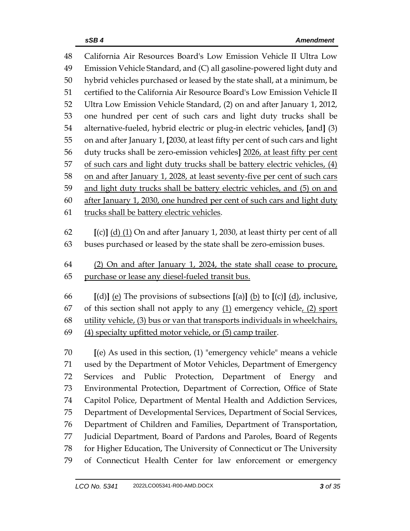| 48 | California Air Resources Board's Low Emission Vehicle II Ultra Low                                             |  |  |
|----|----------------------------------------------------------------------------------------------------------------|--|--|
| 49 | Emission Vehicle Standard, and (C) all gasoline-powered light duty and                                         |  |  |
| 50 | hybrid vehicles purchased or leased by the state shall, at a minimum, be                                       |  |  |
| 51 | certified to the California Air Resource Board's Low Emission Vehicle II                                       |  |  |
| 52 | Ultra Low Emission Vehicle Standard, (2) on and after January 1, 2012,                                         |  |  |
| 53 | one hundred per cent of such cars and light duty trucks shall be                                               |  |  |
| 54 | alternative-fueled, hybrid electric or plug-in electric vehicles, [and] (3)                                    |  |  |
| 55 | on and after January 1, [2030, at least fifty per cent of such cars and light                                  |  |  |
| 56 | duty trucks shall be zero-emission vehicles] 2026, at least fifty per cent                                     |  |  |
| 57 | of such cars and light duty trucks shall be battery electric vehicles, (4)                                     |  |  |
| 58 | on and after January 1, 2028, at least seventy-five per cent of such cars                                      |  |  |
| 59 | and light duty trucks shall be battery electric vehicles, and (5) on and                                       |  |  |
| 60 | after January 1, 2030, one hundred per cent of such cars and light duty                                        |  |  |
| 61 | trucks shall be battery electric vehicles.                                                                     |  |  |
|    |                                                                                                                |  |  |
| 62 | $[(c)]$ (d) (1) On and after January 1, 2030, at least thirty per cent of all                                  |  |  |
| 63 | buses purchased or leased by the state shall be zero-emission buses.                                           |  |  |
| 64 | (2) On and after January 1, 2024, the state shall cease to procure,                                            |  |  |
| 65 | purchase or lease any diesel-fueled transit bus.                                                               |  |  |
|    |                                                                                                                |  |  |
|    |                                                                                                                |  |  |
| 66 | [(d)] <u>(e)</u> The provisions of subsections [(a)] <u>(b)</u> to [(c)] $\underline{d}$ <i>)</i> , inclusive, |  |  |
| 67 | of this section shall not apply to any $(1)$ emergency vehicle, $(2)$ sport                                    |  |  |
| 68 | utility vehicle, (3) bus or van that transports individuals in wheelchairs,                                    |  |  |
| 69 | (4) specialty upfitted motor vehicle, or (5) camp trailer.                                                     |  |  |
|    |                                                                                                                |  |  |
| 70 | [(e) As used in this section, (1) "emergency vehicle" means a vehicle                                          |  |  |
| 71 | used by the Department of Motor Vehicles, Department of Emergency                                              |  |  |
| 72 | and Public Protection, Department of Energy<br><b>Services</b><br>and                                          |  |  |
| 73 | Environmental Protection, Department of Correction, Office of State                                            |  |  |
| 74 | Capitol Police, Department of Mental Health and Addiction Services,                                            |  |  |
| 75 | Department of Developmental Services, Department of Social Services,                                           |  |  |
| 76 | Department of Children and Families, Department of Transportation,                                             |  |  |
| 77 | Judicial Department, Board of Pardons and Paroles, Board of Regents                                            |  |  |
| 78 | for Higher Education, The University of Connecticut or The University                                          |  |  |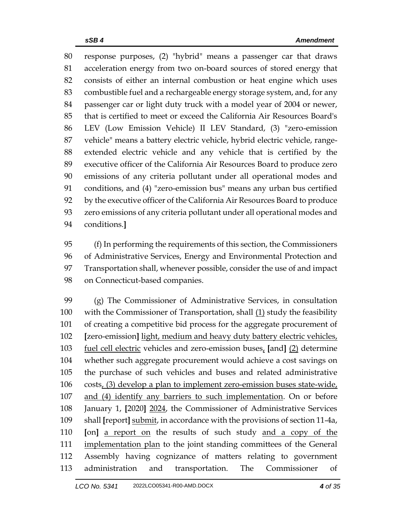response purposes, (2) "hybrid" means a passenger car that draws acceleration energy from two on-board sources of stored energy that consists of either an internal combustion or heat engine which uses combustible fuel and a rechargeable energy storage system, and, for any passenger car or light duty truck with a model year of 2004 or newer, that is certified to meet or exceed the California Air Resources Board's LEV (Low Emission Vehicle) II LEV Standard, (3) "zero-emission vehicle" means a battery electric vehicle, hybrid electric vehicle, range- extended electric vehicle and any vehicle that is certified by the executive officer of the California Air Resources Board to produce zero emissions of any criteria pollutant under all operational modes and conditions, and (4) "zero-emission bus" means any urban bus certified by the executive officer of the California Air Resources Board to produce zero emissions of any criteria pollutant under all operational modes and conditions.**]**

 (f) In performing the requirements of this section, the Commissioners of Administrative Services, Energy and Environmental Protection and Transportation shall, whenever possible, consider the use of and impact on Connecticut-based companies.

 (g) The Commissioner of Administrative Services, in consultation 100 with the Commissioner of Transportation, shall  $(1)$  study the feasibility of creating a competitive bid process for the aggregate procurement of **[**zero-emission**]** light, medium and heavy duty battery electric vehicles, fuel cell electric vehicles and zero-emission buses, **[**and**]** (2) determine whether such aggregate procurement would achieve a cost savings on the purchase of such vehicles and buses and related administrative costs, (3) develop a plan to implement zero-emission buses state-wide, and (4) identify any barriers to such implementation. On or before January 1, **[**2020**]** 2024, the Commissioner of Administrative Services shall **[**report**]** submit, in accordance with the provisions of section 11-4a, **[**on**]** a report on the results of such study and a copy of the 111 implementation plan to the joint standing committees of the General Assembly having cognizance of matters relating to government administration and transportation. The Commissioner of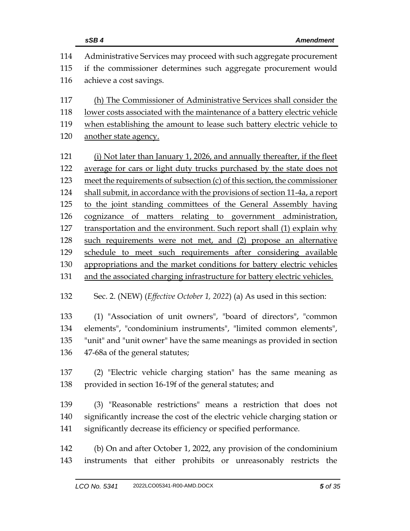|     | sSB4<br><b>Amendment</b>                                                         |  |
|-----|----------------------------------------------------------------------------------|--|
| 114 | Administrative Services may proceed with such aggregate procurement              |  |
| 115 | if the commissioner determines such aggregate procurement would                  |  |
| 116 | achieve a cost savings.                                                          |  |
| 117 | (h) The Commissioner of Administrative Services shall consider the               |  |
| 118 | <u>lower costs associated with the maintenance of a battery electric vehicle</u> |  |
| 119 | when establishing the amount to lease such battery electric vehicle to           |  |
| 120 | another state agency.                                                            |  |
| 121 | (i) Not later than January 1, 2026, and annually thereafter, if the fleet        |  |
| 122 | average for cars or light duty trucks purchased by the state does not            |  |
| 123 | meet the requirements of subsection $(c)$ of this section, the commissioner      |  |
| 124 | shall submit, in accordance with the provisions of section 11-4a, a report       |  |
| 125 | to the joint standing committees of the General Assembly having                  |  |
| 126 | cognizance of matters relating to government administration,                     |  |
| 127 | transportation and the environment. Such report shall (1) explain why            |  |
| 128 | such requirements were not met, and (2) propose an alternative                   |  |
| 129 | schedule to meet such requirements after considering available                   |  |
| 130 | appropriations and the market conditions for battery electric vehicles           |  |
| 131 | and the associated charging infrastructure for battery electric vehicles.        |  |
| 132 | Sec. 2. (NEW) ( <i>Effective October 1, 2022</i> ) (a) As used in this section:  |  |
| 133 | (1) "Association of unit owners", "board of directors", "common                  |  |
| 134 | elements", "condominium instruments", "limited common elements",                 |  |
| 135 | "unit" and "unit owner" have the same meanings as provided in section            |  |
| 136 | 47-68a of the general statutes;                                                  |  |
| 137 | (2) "Electric vehicle charging station" has the same meaning as                  |  |
| 138 | provided in section 16-19f of the general statutes; and                          |  |
| 139 | (3) "Reasonable restrictions" means a restriction that does not                  |  |
| 140 | significantly increase the cost of the electric vehicle charging station or      |  |
| 141 | significantly decrease its efficiency or specified performance.                  |  |
| 142 | (b) On and after October 1, 2022, any provision of the condominium               |  |
| 143 | instruments that either prohibits or unreasonably restricts the                  |  |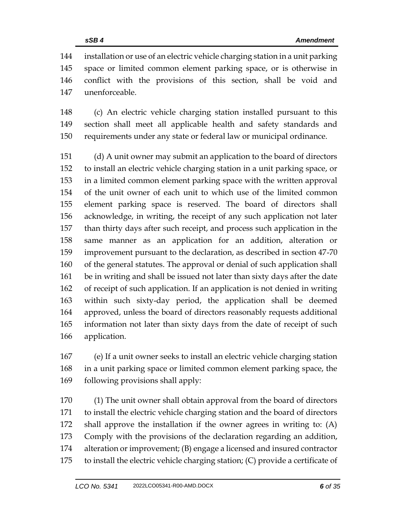installation or use of an electric vehicle charging station in a unit parking space or limited common element parking space, or is otherwise in conflict with the provisions of this section, shall be void and unenforceable.

 (c) An electric vehicle charging station installed pursuant to this section shall meet all applicable health and safety standards and requirements under any state or federal law or municipal ordinance.

 (d) A unit owner may submit an application to the board of directors to install an electric vehicle charging station in a unit parking space, or in a limited common element parking space with the written approval of the unit owner of each unit to which use of the limited common element parking space is reserved. The board of directors shall acknowledge, in writing, the receipt of any such application not later than thirty days after such receipt, and process such application in the same manner as an application for an addition, alteration or improvement pursuant to the declaration, as described in section 47-70 of the general statutes. The approval or denial of such application shall be in writing and shall be issued not later than sixty days after the date of receipt of such application. If an application is not denied in writing within such sixty-day period, the application shall be deemed approved, unless the board of directors reasonably requests additional information not later than sixty days from the date of receipt of such application.

 (e) If a unit owner seeks to install an electric vehicle charging station in a unit parking space or limited common element parking space, the 169 following provisions shall apply:

 (1) The unit owner shall obtain approval from the board of directors to install the electric vehicle charging station and the board of directors shall approve the installation if the owner agrees in writing to: (A) Comply with the provisions of the declaration regarding an addition, alteration or improvement; (B) engage a licensed and insured contractor to install the electric vehicle charging station; (C) provide a certificate of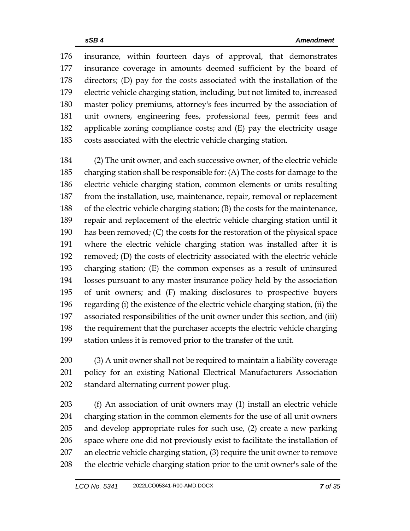insurance, within fourteen days of approval, that demonstrates insurance coverage in amounts deemed sufficient by the board of directors; (D) pay for the costs associated with the installation of the electric vehicle charging station, including, but not limited to, increased master policy premiums, attorney's fees incurred by the association of unit owners, engineering fees, professional fees, permit fees and applicable zoning compliance costs; and (E) pay the electricity usage costs associated with the electric vehicle charging station.

 (2) The unit owner, and each successive owner, of the electric vehicle charging station shall be responsible for: (A) The costs for damage to the electric vehicle charging station, common elements or units resulting from the installation, use, maintenance, repair, removal or replacement of the electric vehicle charging station; (B) the costs for the maintenance, repair and replacement of the electric vehicle charging station until it has been removed; (C) the costs for the restoration of the physical space where the electric vehicle charging station was installed after it is removed; (D) the costs of electricity associated with the electric vehicle charging station; (E) the common expenses as a result of uninsured losses pursuant to any master insurance policy held by the association of unit owners; and (F) making disclosures to prospective buyers regarding (i) the existence of the electric vehicle charging station, (ii) the associated responsibilities of the unit owner under this section, and (iii) the requirement that the purchaser accepts the electric vehicle charging station unless it is removed prior to the transfer of the unit.

 (3) A unit owner shall not be required to maintain a liability coverage policy for an existing National Electrical Manufacturers Association standard alternating current power plug.

 (f) An association of unit owners may (1) install an electric vehicle charging station in the common elements for the use of all unit owners and develop appropriate rules for such use, (2) create a new parking space where one did not previously exist to facilitate the installation of an electric vehicle charging station, (3) require the unit owner to remove the electric vehicle charging station prior to the unit owner's sale of the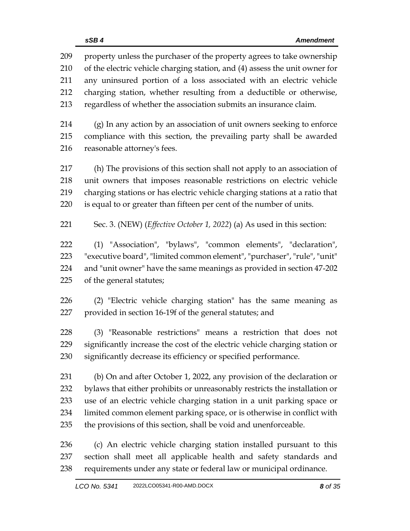property unless the purchaser of the property agrees to take ownership of the electric vehicle charging station, and (4) assess the unit owner for any uninsured portion of a loss associated with an electric vehicle charging station, whether resulting from a deductible or otherwise, regardless of whether the association submits an insurance claim.

 (g) In any action by an association of unit owners seeking to enforce compliance with this section, the prevailing party shall be awarded reasonable attorney's fees.

 (h) The provisions of this section shall not apply to an association of unit owners that imposes reasonable restrictions on electric vehicle charging stations or has electric vehicle charging stations at a ratio that is equal to or greater than fifteen per cent of the number of units.

Sec. 3. (NEW) (*Effective October 1, 2022*) (a) As used in this section:

 (1) "Association", "bylaws", "common elements", "declaration", "executive board", "limited common element", "purchaser", "rule", "unit" and "unit owner" have the same meanings as provided in section 47-202 of the general statutes;

 (2) "Electric vehicle charging station" has the same meaning as provided in section 16-19f of the general statutes; and

 (3) "Reasonable restrictions" means a restriction that does not significantly increase the cost of the electric vehicle charging station or significantly decrease its efficiency or specified performance.

 (b) On and after October 1, 2022, any provision of the declaration or bylaws that either prohibits or unreasonably restricts the installation or use of an electric vehicle charging station in a unit parking space or limited common element parking space, or is otherwise in conflict with the provisions of this section, shall be void and unenforceable.

 (c) An electric vehicle charging station installed pursuant to this section shall meet all applicable health and safety standards and requirements under any state or federal law or municipal ordinance.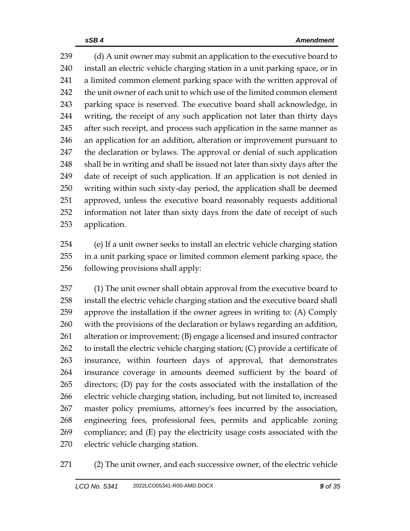239 (d) A unit owner may submit an application to the executive board to install an electric vehicle charging station in a unit parking space, or in a limited common element parking space with the written approval of the unit owner of each unit to which use of the limited common element parking space is reserved. The executive board shall acknowledge, in writing, the receipt of any such application not later than thirty days 245 after such receipt, and process such application in the same manner as an application for an addition, alteration or improvement pursuant to the declaration or bylaws. The approval or denial of such application shall be in writing and shall be issued not later than sixty days after the date of receipt of such application. If an application is not denied in writing within such sixty-day period, the application shall be deemed approved, unless the executive board reasonably requests additional information not later than sixty days from the date of receipt of such application.

 (e) If a unit owner seeks to install an electric vehicle charging station in a unit parking space or limited common element parking space, the following provisions shall apply:

 (1) The unit owner shall obtain approval from the executive board to install the electric vehicle charging station and the executive board shall approve the installation if the owner agrees in writing to: (A) Comply with the provisions of the declaration or bylaws regarding an addition, alteration or improvement; (B) engage a licensed and insured contractor to install the electric vehicle charging station; (C) provide a certificate of insurance, within fourteen days of approval, that demonstrates insurance coverage in amounts deemed sufficient by the board of directors; (D) pay for the costs associated with the installation of the electric vehicle charging station, including, but not limited to, increased master policy premiums, attorney's fees incurred by the association, engineering fees, professional fees, permits and applicable zoning compliance; and (E) pay the electricity usage costs associated with the electric vehicle charging station.

(2) The unit owner, and each successive owner, of the electric vehicle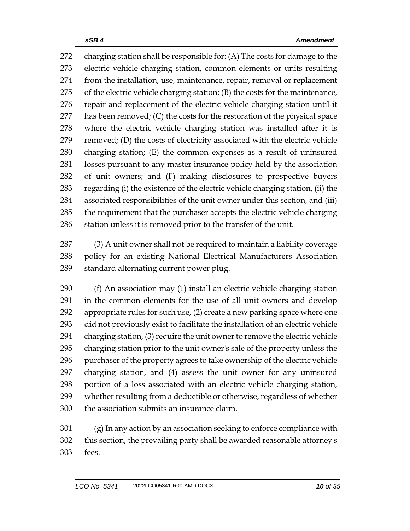charging station shall be responsible for: (A) The costs for damage to the electric vehicle charging station, common elements or units resulting from the installation, use, maintenance, repair, removal or replacement of the electric vehicle charging station; (B) the costs for the maintenance, repair and replacement of the electric vehicle charging station until it has been removed; (C) the costs for the restoration of the physical space where the electric vehicle charging station was installed after it is removed; (D) the costs of electricity associated with the electric vehicle charging station; (E) the common expenses as a result of uninsured losses pursuant to any master insurance policy held by the association of unit owners; and (F) making disclosures to prospective buyers regarding (i) the existence of the electric vehicle charging station, (ii) the associated responsibilities of the unit owner under this section, and (iii) the requirement that the purchaser accepts the electric vehicle charging station unless it is removed prior to the transfer of the unit.

 (3) A unit owner shall not be required to maintain a liability coverage policy for an existing National Electrical Manufacturers Association standard alternating current power plug.

 (f) An association may (1) install an electric vehicle charging station in the common elements for the use of all unit owners and develop appropriate rules for such use, (2) create a new parking space where one did not previously exist to facilitate the installation of an electric vehicle charging station, (3) require the unit owner to remove the electric vehicle charging station prior to the unit owner's sale of the property unless the purchaser of the property agrees to take ownership of the electric vehicle charging station, and (4) assess the unit owner for any uninsured portion of a loss associated with an electric vehicle charging station, whether resulting from a deductible or otherwise, regardless of whether the association submits an insurance claim.

 (g) In any action by an association seeking to enforce compliance with this section, the prevailing party shall be awarded reasonable attorney's fees.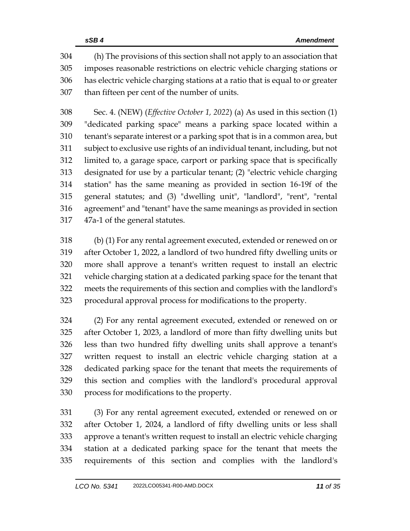(h) The provisions of this section shall not apply to an association that imposes reasonable restrictions on electric vehicle charging stations or has electric vehicle charging stations at a ratio that is equal to or greater than fifteen per cent of the number of units.

 Sec. 4. (NEW) (*Effective October 1, 2022*) (a) As used in this section (1) "dedicated parking space" means a parking space located within a tenant's separate interest or a parking spot that is in a common area, but subject to exclusive use rights of an individual tenant, including, but not limited to, a garage space, carport or parking space that is specifically designated for use by a particular tenant; (2) "electric vehicle charging station" has the same meaning as provided in section 16-19f of the general statutes; and (3) "dwelling unit", "landlord", "rent", "rental agreement" and "tenant" have the same meanings as provided in section 47a-1 of the general statutes.

 (b) (1) For any rental agreement executed, extended or renewed on or after October 1, 2022, a landlord of two hundred fifty dwelling units or more shall approve a tenant's written request to install an electric vehicle charging station at a dedicated parking space for the tenant that meets the requirements of this section and complies with the landlord's procedural approval process for modifications to the property.

 (2) For any rental agreement executed, extended or renewed on or after October 1, 2023, a landlord of more than fifty dwelling units but less than two hundred fifty dwelling units shall approve a tenant's written request to install an electric vehicle charging station at a dedicated parking space for the tenant that meets the requirements of this section and complies with the landlord's procedural approval process for modifications to the property.

 (3) For any rental agreement executed, extended or renewed on or after October 1, 2024, a landlord of fifty dwelling units or less shall approve a tenant's written request to install an electric vehicle charging station at a dedicated parking space for the tenant that meets the requirements of this section and complies with the landlord's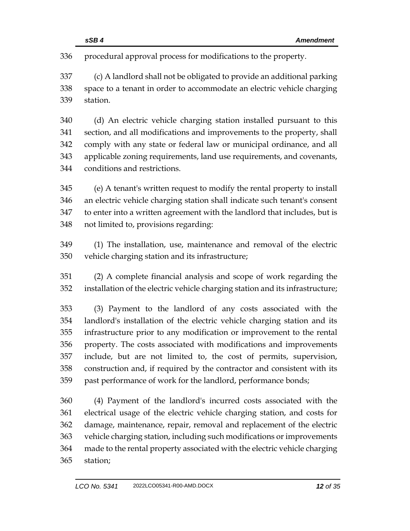procedural approval process for modifications to the property.

 (c) A landlord shall not be obligated to provide an additional parking space to a tenant in order to accommodate an electric vehicle charging station.

 (d) An electric vehicle charging station installed pursuant to this section, and all modifications and improvements to the property, shall comply with any state or federal law or municipal ordinance, and all applicable zoning requirements, land use requirements, and covenants, conditions and restrictions.

 (e) A tenant's written request to modify the rental property to install an electric vehicle charging station shall indicate such tenant's consent to enter into a written agreement with the landlord that includes, but is not limited to, provisions regarding:

 (1) The installation, use, maintenance and removal of the electric vehicle charging station and its infrastructure;

 (2) A complete financial analysis and scope of work regarding the installation of the electric vehicle charging station and its infrastructure;

 (3) Payment to the landlord of any costs associated with the landlord's installation of the electric vehicle charging station and its infrastructure prior to any modification or improvement to the rental property. The costs associated with modifications and improvements include, but are not limited to, the cost of permits, supervision, construction and, if required by the contractor and consistent with its past performance of work for the landlord, performance bonds;

 (4) Payment of the landlord's incurred costs associated with the electrical usage of the electric vehicle charging station, and costs for damage, maintenance, repair, removal and replacement of the electric vehicle charging station, including such modifications or improvements made to the rental property associated with the electric vehicle charging station;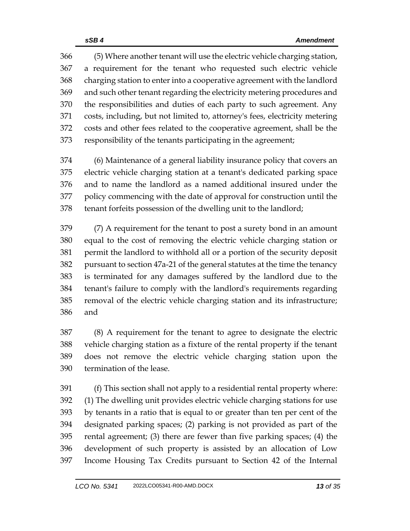(5) Where another tenant will use the electric vehicle charging station, a requirement for the tenant who requested such electric vehicle charging station to enter into a cooperative agreement with the landlord and such other tenant regarding the electricity metering procedures and the responsibilities and duties of each party to such agreement. Any costs, including, but not limited to, attorney's fees, electricity metering costs and other fees related to the cooperative agreement, shall be the responsibility of the tenants participating in the agreement;

 (6) Maintenance of a general liability insurance policy that covers an electric vehicle charging station at a tenant's dedicated parking space and to name the landlord as a named additional insured under the policy commencing with the date of approval for construction until the tenant forfeits possession of the dwelling unit to the landlord;

 (7) A requirement for the tenant to post a surety bond in an amount equal to the cost of removing the electric vehicle charging station or permit the landlord to withhold all or a portion of the security deposit pursuant to section 47a-21 of the general statutes at the time the tenancy is terminated for any damages suffered by the landlord due to the tenant's failure to comply with the landlord's requirements regarding removal of the electric vehicle charging station and its infrastructure; and

 (8) A requirement for the tenant to agree to designate the electric vehicle charging station as a fixture of the rental property if the tenant does not remove the electric vehicle charging station upon the termination of the lease.

 (f) This section shall not apply to a residential rental property where: (1) The dwelling unit provides electric vehicle charging stations for use by tenants in a ratio that is equal to or greater than ten per cent of the designated parking spaces; (2) parking is not provided as part of the rental agreement; (3) there are fewer than five parking spaces; (4) the development of such property is assisted by an allocation of Low Income Housing Tax Credits pursuant to Section 42 of the Internal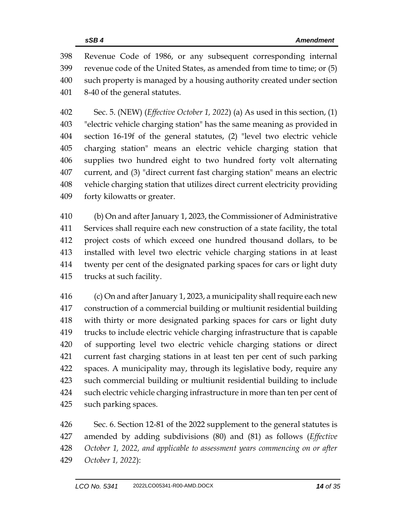Revenue Code of 1986, or any subsequent corresponding internal revenue code of the United States, as amended from time to time; or (5) such property is managed by a housing authority created under section 8-40 of the general statutes.

 Sec. 5. (NEW) (*Effective October 1, 2022*) (a) As used in this section, (1) "electric vehicle charging station" has the same meaning as provided in section 16-19f of the general statutes, (2) "level two electric vehicle charging station" means an electric vehicle charging station that supplies two hundred eight to two hundred forty volt alternating current, and (3) "direct current fast charging station" means an electric vehicle charging station that utilizes direct current electricity providing forty kilowatts or greater.

 (b) On and after January 1, 2023, the Commissioner of Administrative Services shall require each new construction of a state facility, the total project costs of which exceed one hundred thousand dollars, to be installed with level two electric vehicle charging stations in at least twenty per cent of the designated parking spaces for cars or light duty trucks at such facility.

 (c) On and after January 1, 2023, a municipality shall require each new construction of a commercial building or multiunit residential building with thirty or more designated parking spaces for cars or light duty trucks to include electric vehicle charging infrastructure that is capable of supporting level two electric vehicle charging stations or direct current fast charging stations in at least ten per cent of such parking spaces. A municipality may, through its legislative body, require any such commercial building or multiunit residential building to include such electric vehicle charging infrastructure in more than ten per cent of such parking spaces.

 Sec. 6. Section 12-81 of the 2022 supplement to the general statutes is amended by adding subdivisions (80) and (81) as follows (*Effective October 1, 2022, and applicable to assessment years commencing on or after October 1, 2022*):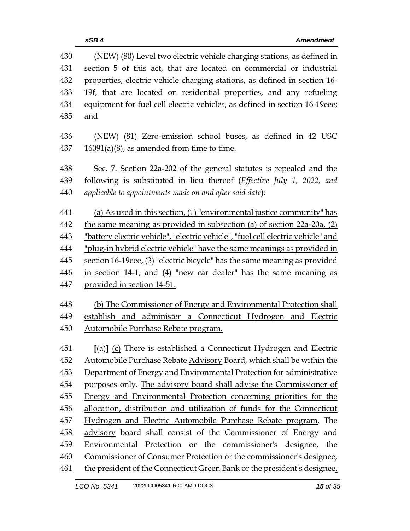| 430        | (NEW) (80) Level two electric vehicle charging stations, as defined in            |
|------------|-----------------------------------------------------------------------------------|
| 431        | section 5 of this act, that are located on commercial or industrial               |
| 432        | properties, electric vehicle charging stations, as defined in section 16-         |
| 433<br>434 | 19f, that are located on residential properties, and any refueling                |
| 435        | equipment for fuel cell electric vehicles, as defined in section 16-19eee;<br>and |
| 436        | (NEW) (81) Zero-emission school buses, as defined in 42 USC                       |
| 437        | $16091(a)(8)$ , as amended from time to time.                                     |
| 438        | Sec. 7. Section 22a-202 of the general statutes is repealed and the               |
| 439        | following is substituted in lieu thereof (Effective July 1, 2022, and             |
| 440        | applicable to appointments made on and after said date):                          |
| 441        | (a) As used in this section, $(1)$ "environmental justice community" has          |
| 442        | the same meaning as provided in subsection (a) of section 22a-20a, (2)            |
| 443        | "battery electric vehicle", "electric vehicle", "fuel cell electric vehicle" and  |
| 444        | "plug-in hybrid electric vehicle" have the same meanings as provided in           |
| 445        | section 16-19eee, (3) "electric bicycle" has the same meaning as provided         |
| 446        | in section 14-1, and (4) "new car dealer" has the same meaning as                 |
| 447        | provided in section 14-51.                                                        |
| 448        | (b) The Commissioner of Energy and Environmental Protection shall                 |
| 449        | establish and administer a Connecticut Hydrogen and Electric                      |
| 450        | Automobile Purchase Rebate program.                                               |
| 451        | [(a)] (c) There is established a Connecticut Hydrogen and Electric                |
| 452        | Automobile Purchase Rebate Advisory Board, which shall be within the              |
| 453        | Department of Energy and Environmental Protection for administrative              |
| 454        | purposes only. The advisory board shall advise the Commissioner of                |
| 455        | Energy and Environmental Protection concerning priorities for the                 |
| 456        | allocation, distribution and utilization of funds for the Connecticut             |
| 457        | Hydrogen and Electric Automobile Purchase Rebate program. The                     |
| 458        | advisory board shall consist of the Commissioner of Energy and                    |
| 459        | Environmental Protection or the commissioner's designee, the                      |
| 460        | Commissioner of Consumer Protection or the commissioner's designee,               |
| 461        | the president of the Connecticut Green Bank or the president's designee,          |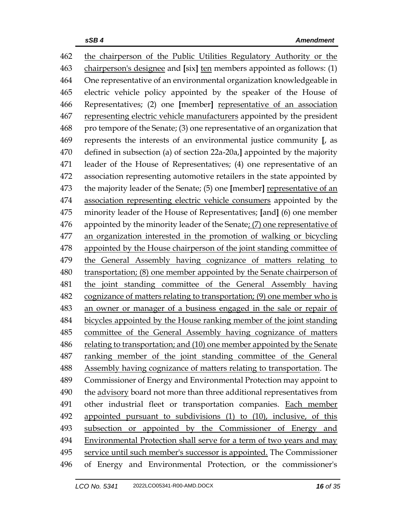the chairperson of the Public Utilities Regulatory Authority or the chairperson's designee and **[**six**]** ten members appointed as follows: (1) One representative of an environmental organization knowledgeable in electric vehicle policy appointed by the speaker of the House of Representatives; (2) one **[**member**]** representative of an association representing electric vehicle manufacturers appointed by the president pro tempore of the Senate; (3) one representative of an organization that represents the interests of an environmental justice community **[**, as defined in subsection (a) of section 22a-20a,**]** appointed by the majority leader of the House of Representatives; (4) one representative of an association representing automotive retailers in the state appointed by the majority leader of the Senate; (5) one **[**member**]** representative of an association representing electric vehicle consumers appointed by the minority leader of the House of Representatives; **[**and**]** (6) one member appointed by the minority leader of the Senate; (7) one representative of an organization interested in the promotion of walking or bicycling appointed by the House chairperson of the joint standing committee of the General Assembly having cognizance of matters relating to transportation; (8) one member appointed by the Senate chairperson of the joint standing committee of the General Assembly having cognizance of matters relating to transportation; (9) one member who is an owner or manager of a business engaged in the sale or repair of bicycles appointed by the House ranking member of the joint standing committee of the General Assembly having cognizance of matters relating to transportation; and (10) one member appointed by the Senate ranking member of the joint standing committee of the General Assembly having cognizance of matters relating to transportation. The Commissioner of Energy and Environmental Protection may appoint to the advisory board not more than three additional representatives from other industrial fleet or transportation companies. Each member appointed pursuant to subdivisions (1) to (10), inclusive, of this subsection or appointed by the Commissioner of Energy and Environmental Protection shall serve for a term of two years and may service until such member's successor is appointed. The Commissioner of Energy and Environmental Protection, or the commissioner's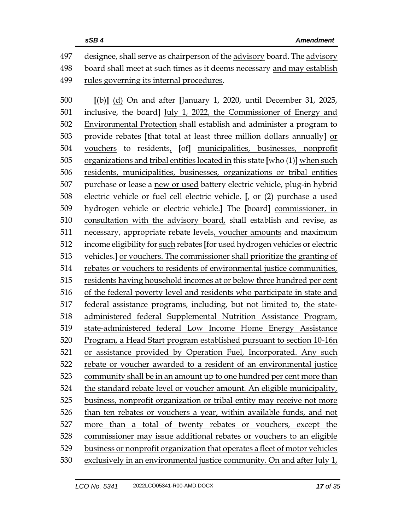designee, shall serve as chairperson of the advisory board. The advisory board shall meet at such times as it deems necessary and may establish rules governing its internal procedures.

 **[**(b)**]** (d) On and after **[**January 1, 2020, until December 31, 2025, inclusive, the board**]** July 1, 2022, the Commissioner of Energy and Environmental Protection shall establish and administer a program to provide rebates **[**that total at least three million dollars annually**]** or vouchers to residents, **[**of**]** municipalities, businesses, nonprofit organizations and tribal entities located in this state **[**who (1)**]** when such residents, municipalities, businesses, organizations or tribal entities purchase or lease a new or used battery electric vehicle, plug-in hybrid electric vehicle or fuel cell electric vehicle. **[**, or (2) purchase a used hydrogen vehicle or electric vehicle.**]** The **[**board**]** commissioner, in consultation with the advisory board, shall establish and revise, as necessary, appropriate rebate levels, voucher amounts and maximum income eligibility for such rebates **[**for used hydrogen vehicles or electric vehicles.**]** or vouchers. The commissioner shall prioritize the granting of rebates or vouchers to residents of environmental justice communities, residents having household incomes at or below three hundred per cent of the federal poverty level and residents who participate in state and federal assistance programs, including, but not limited to, the state- administered federal Supplemental Nutrition Assistance Program, state-administered federal Low Income Home Energy Assistance Program, a Head Start program established pursuant to section 10-16n or assistance provided by Operation Fuel, Incorporated. Any such rebate or voucher awarded to a resident of an environmental justice community shall be in an amount up to one hundred per cent more than the standard rebate level or voucher amount. An eligible municipality, business, nonprofit organization or tribal entity may receive not more than ten rebates or vouchers a year, within available funds, and not more than a total of twenty rebates or vouchers, except the commissioner may issue additional rebates or vouchers to an eligible business or nonprofit organization that operates a fleet of motor vehicles exclusively in an environmental justice community. On and after July 1,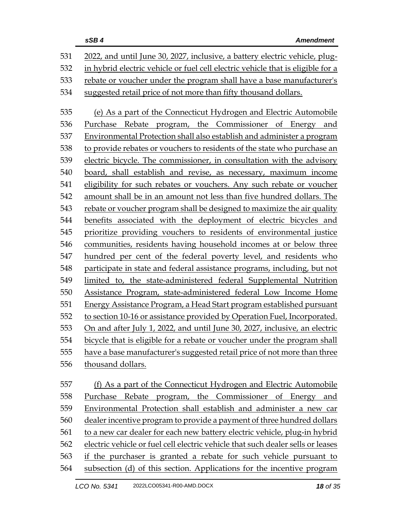|     | sSB4<br><b>Amendment</b>                                                        |  |
|-----|---------------------------------------------------------------------------------|--|
| 531 | 2022, and until June 30, 2027, inclusive, a battery electric vehicle, plug-     |  |
| 532 | in hybrid electric vehicle or fuel cell electric vehicle that is eligible for a |  |
| 533 | rebate or voucher under the program shall have a base manufacturer's            |  |
| 534 | suggested retail price of not more than fifty thousand dollars.                 |  |
| 535 | (e) As a part of the Connecticut Hydrogen and Electric Automobile               |  |
| 536 | Purchase Rebate program, the Commissioner of Energy and                         |  |
| 537 | Environmental Protection shall also establish and administer a program          |  |
| 538 | to provide rebates or vouchers to residents of the state who purchase an        |  |
| 539 | electric bicycle. The commissioner, in consultation with the advisory           |  |
| 540 | board, shall establish and revise, as necessary, maximum income                 |  |
| 541 | eligibility for such rebates or vouchers. Any such rebate or voucher            |  |
| 542 | amount shall be in an amount not less than five hundred dollars. The            |  |
| 543 | rebate or voucher program shall be designed to maximize the air quality         |  |
| 544 | benefits associated with the deployment of electric bicycles and                |  |
| 545 | prioritize providing vouchers to residents of environmental justice             |  |
| 546 | communities, residents having household incomes at or below three               |  |
| 547 | hundred per cent of the federal poverty level, and residents who                |  |
| 548 | participate in state and federal assistance programs, including, but not        |  |
| 549 | limited to, the state-administered federal Supplemental Nutrition               |  |
| 550 | Assistance Program, state-administered federal Low Income Home                  |  |
| 551 | Energy Assistance Program, a Head Start program established pursuant            |  |
| 552 | to section 10-16 or assistance provided by Operation Fuel, Incorporated.        |  |
| 553 | On and after July 1, 2022, and until June 30, 2027, inclusive, an electric      |  |
| 554 | bicycle that is eligible for a rebate or voucher under the program shall        |  |
| 555 | have a base manufacturer's suggested retail price of not more than three        |  |
| 556 | thousand dollars.                                                               |  |
| 557 | (f) As a part of the Connecticut Hydrogen and Electric Automobile               |  |
| 558 | Purchase<br>Rebate program, the Commissioner of Energy and                      |  |
| 559 | Environmental Protection shall establish and administer a new car               |  |
| 560 | dealer incentive program to provide a payment of three hundred dollars          |  |
| 561 | to a new car dealer for each new battery electric vehicle, plug-in hybrid       |  |

 electric vehicle or fuel cell electric vehicle that such dealer sells or leases if the purchaser is granted a rebate for such vehicle pursuant to

564 subsection (d) of this section. Applications for the incentive program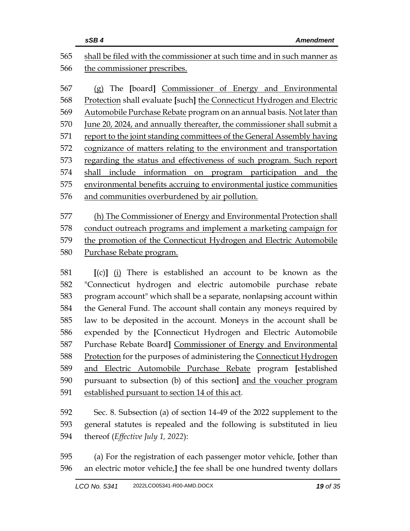|     | sSB4<br><b>Amendment</b>                                                |  |
|-----|-------------------------------------------------------------------------|--|
| 565 | shall be filed with the commissioner at such time and in such manner as |  |
| 566 | the commissioner prescribes.                                            |  |
|     |                                                                         |  |
| 567 | (g) The [board] Commissioner of Energy and Environmental                |  |
| 568 | Protection shall evaluate [such] the Connecticut Hydrogen and Electric  |  |
| 569 | Automobile Purchase Rebate program on an annual basis. Not later than   |  |
| 570 | June 20, 2024, and annually thereafter, the commissioner shall submit a |  |
| 571 | report to the joint standing committees of the General Assembly having  |  |
| 572 | cognizance of matters relating to the environment and transportation    |  |
| 573 | regarding the status and effectiveness of such program. Such report     |  |
| 574 | include information on program participation and the<br>shall           |  |
| 575 | environmental benefits accruing to environmental justice communities    |  |
| 576 | and communities overburdened by air pollution.                          |  |
|     |                                                                         |  |
| 577 | (h) The Commissioner of Energy and Environmental Protection shall       |  |
| 578 | conduct outreach programs and implement a marketing campaign for        |  |
| 579 | the promotion of the Connecticut Hydrogen and Electric Automobile       |  |
| 580 | Purchase Rebate program.                                                |  |
|     |                                                                         |  |
| 581 | $[(c)]$ (i) There is established an account to be known as the          |  |
| 582 | "Connecticut hydrogen and electric automobile purchase rebate           |  |
| 583 | program account" which shall be a separate, nonlapsing account within   |  |
| 584 | the General Fund. The account shall contain any moneys required by      |  |
| 585 | law to be deposited in the account. Moneys in the account shall be      |  |
| 586 | expended by the [Connecticut Hydrogen and Electric Automobile           |  |

 Purchase Rebate Board**]** Commissioner of Energy and Environmental 588 Protection for the purposes of administering the Connecticut Hydrogen and Electric Automobile Purchase Rebate program **[**established pursuant to subsection (b) of this section**]** and the voucher program established pursuant to section 14 of this act.

 Sec. 8. Subsection (a) of section 14-49 of the 2022 supplement to the general statutes is repealed and the following is substituted in lieu thereof (*Effective July 1, 2022*):

 (a) For the registration of each passenger motor vehicle, **[**other than an electric motor vehicle,**]** the fee shall be one hundred twenty dollars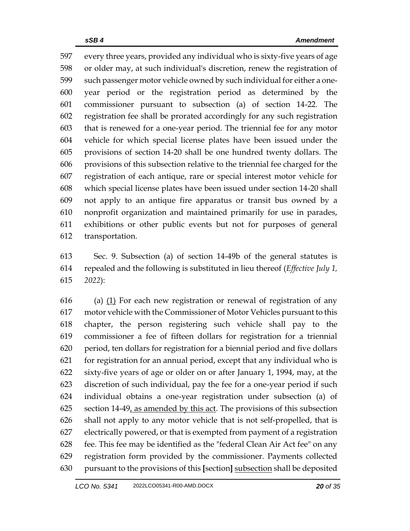every three years, provided any individual who is sixty-five years of age or older may, at such individual's discretion, renew the registration of such passenger motor vehicle owned by such individual for either a one- year period or the registration period as determined by the commissioner pursuant to subsection (a) of section 14-22. The registration fee shall be prorated accordingly for any such registration that is renewed for a one-year period. The triennial fee for any motor vehicle for which special license plates have been issued under the provisions of section 14-20 shall be one hundred twenty dollars. The provisions of this subsection relative to the triennial fee charged for the registration of each antique, rare or special interest motor vehicle for which special license plates have been issued under section 14-20 shall not apply to an antique fire apparatus or transit bus owned by a nonprofit organization and maintained primarily for use in parades, exhibitions or other public events but not for purposes of general transportation.

 Sec. 9. Subsection (a) of section 14-49b of the general statutes is repealed and the following is substituted in lieu thereof (*Effective July 1, 2022*):

 (a)  $(1)$  For each new registration or renewal of registration of any motor vehicle with the Commissioner of Motor Vehicles pursuant to this chapter, the person registering such vehicle shall pay to the commissioner a fee of fifteen dollars for registration for a triennial period, ten dollars for registration for a biennial period and five dollars for registration for an annual period, except that any individual who is sixty-five years of age or older on or after January 1, 1994, may, at the discretion of such individual, pay the fee for a one-year period if such individual obtains a one-year registration under subsection (a) of 625 section 14-49, as amended by this act. The provisions of this subsection shall not apply to any motor vehicle that is not self-propelled, that is electrically powered, or that is exempted from payment of a registration fee. This fee may be identified as the "federal Clean Air Act fee" on any registration form provided by the commissioner. Payments collected pursuant to the provisions of this **[**section**]** subsection shall be deposited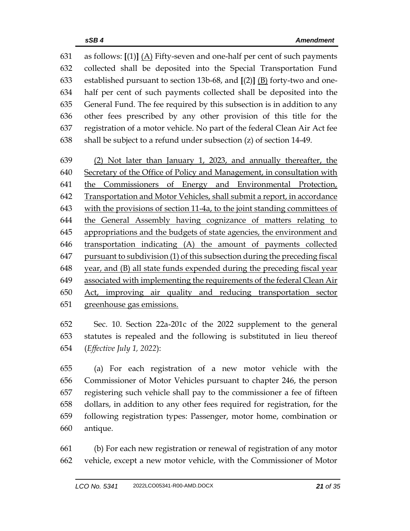as follows: **[**(1)**]** (A) Fifty-seven and one-half per cent of such payments collected shall be deposited into the Special Transportation Fund established pursuant to section 13b-68, and **[**(2)**]** (B) forty-two and one- half per cent of such payments collected shall be deposited into the General Fund. The fee required by this subsection is in addition to any other fees prescribed by any other provision of this title for the registration of a motor vehicle. No part of the federal Clean Air Act fee shall be subject to a refund under subsection (z) of section 14-49. (2) Not later than January 1, 2023, and annually thereafter, the Secretary of the Office of Policy and Management, in consultation with the Commissioners of Energy and Environmental Protection, Transportation and Motor Vehicles, shall submit a report, in accordance with the provisions of section 11-4a, to the joint standing committees of the General Assembly having cognizance of matters relating to appropriations and the budgets of state agencies, the environment and transportation indicating (A) the amount of payments collected pursuant to subdivision (1) of this subsection during the preceding fiscal year, and (B) all state funds expended during the preceding fiscal year associated with implementing the requirements of the federal Clean Air Act, improving air quality and reducing transportation sector greenhouse gas emissions.

 Sec. 10. Section 22a-201c of the 2022 supplement to the general statutes is repealed and the following is substituted in lieu thereof (*Effective July 1, 2022*):

 (a) For each registration of a new motor vehicle with the Commissioner of Motor Vehicles pursuant to chapter 246, the person registering such vehicle shall pay to the commissioner a fee of fifteen dollars, in addition to any other fees required for registration, for the following registration types: Passenger, motor home, combination or antique.

 (b) For each new registration or renewal of registration of any motor vehicle, except a new motor vehicle, with the Commissioner of Motor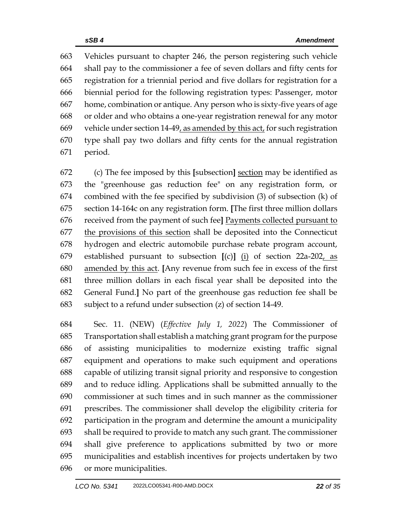Vehicles pursuant to chapter 246, the person registering such vehicle shall pay to the commissioner a fee of seven dollars and fifty cents for registration for a triennial period and five dollars for registration for a biennial period for the following registration types: Passenger, motor home, combination or antique. Any person who is sixty-five years of age or older and who obtains a one-year registration renewal for any motor 669 vehicle under section  $14-49$ , as amended by this act, for such registration type shall pay two dollars and fifty cents for the annual registration period.

 (c) The fee imposed by this **[**subsection**]** section may be identified as the "greenhouse gas reduction fee" on any registration form, or combined with the fee specified by subdivision (3) of subsection (k) of section 14-164c on any registration form. **[**The first three million dollars received from the payment of such fee**]** Payments collected pursuant to the provisions of this section shall be deposited into the Connecticut hydrogen and electric automobile purchase rebate program account, established pursuant to subsection **[**(c)**]** (i) of section 22a-202, as amended by this act. **[**Any revenue from such fee in excess of the first three million dollars in each fiscal year shall be deposited into the General Fund.**]** No part of the greenhouse gas reduction fee shall be subject to a refund under subsection (z) of section 14-49.

 Sec. 11. (NEW) (*Effective July 1, 2022*) The Commissioner of Transportation shall establish a matching grant program for the purpose of assisting municipalities to modernize existing traffic signal equipment and operations to make such equipment and operations capable of utilizing transit signal priority and responsive to congestion and to reduce idling. Applications shall be submitted annually to the commissioner at such times and in such manner as the commissioner prescribes. The commissioner shall develop the eligibility criteria for participation in the program and determine the amount a municipality shall be required to provide to match any such grant. The commissioner shall give preference to applications submitted by two or more municipalities and establish incentives for projects undertaken by two or more municipalities.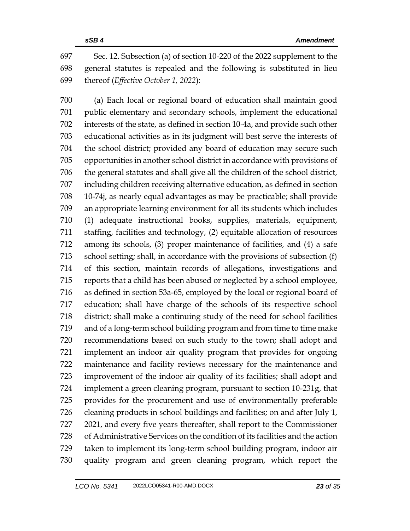Sec. 12. Subsection (a) of section 10-220 of the 2022 supplement to the general statutes is repealed and the following is substituted in lieu thereof (*Effective October 1, 2022*):

 (a) Each local or regional board of education shall maintain good public elementary and secondary schools, implement the educational interests of the state, as defined in section 10-4a, and provide such other educational activities as in its judgment will best serve the interests of the school district; provided any board of education may secure such opportunities in another school district in accordance with provisions of the general statutes and shall give all the children of the school district, including children receiving alternative education, as defined in section 10-74j, as nearly equal advantages as may be practicable; shall provide an appropriate learning environment for all its students which includes (1) adequate instructional books, supplies, materials, equipment, staffing, facilities and technology, (2) equitable allocation of resources among its schools, (3) proper maintenance of facilities, and (4) a safe school setting; shall, in accordance with the provisions of subsection (f) of this section, maintain records of allegations, investigations and reports that a child has been abused or neglected by a school employee, as defined in section 53a-65, employed by the local or regional board of education; shall have charge of the schools of its respective school district; shall make a continuing study of the need for school facilities and of a long-term school building program and from time to time make recommendations based on such study to the town; shall adopt and implement an indoor air quality program that provides for ongoing maintenance and facility reviews necessary for the maintenance and improvement of the indoor air quality of its facilities; shall adopt and implement a green cleaning program, pursuant to section 10-231g, that provides for the procurement and use of environmentally preferable cleaning products in school buildings and facilities; on and after July 1, 2021, and every five years thereafter, shall report to the Commissioner of Administrative Services on the condition of its facilities and the action taken to implement its long-term school building program, indoor air quality program and green cleaning program, which report the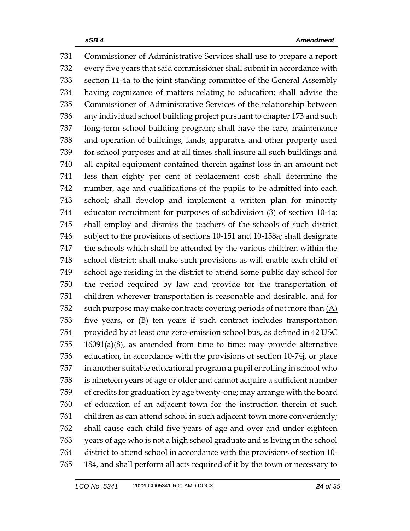Commissioner of Administrative Services shall use to prepare a report every five years that said commissioner shall submit in accordance with section 11-4a to the joint standing committee of the General Assembly having cognizance of matters relating to education; shall advise the Commissioner of Administrative Services of the relationship between any individual school building project pursuant to chapter 173 and such long-term school building program; shall have the care, maintenance and operation of buildings, lands, apparatus and other property used for school purposes and at all times shall insure all such buildings and all capital equipment contained therein against loss in an amount not less than eighty per cent of replacement cost; shall determine the number, age and qualifications of the pupils to be admitted into each school; shall develop and implement a written plan for minority educator recruitment for purposes of subdivision (3) of section 10-4a; shall employ and dismiss the teachers of the schools of such district subject to the provisions of sections 10-151 and 10-158a; shall designate the schools which shall be attended by the various children within the school district; shall make such provisions as will enable each child of school age residing in the district to attend some public day school for the period required by law and provide for the transportation of children wherever transportation is reasonable and desirable, and for 752 such purpose may make contracts covering periods of not more than  $(A)$  five years, or (B) ten years if such contract includes transportation provided by at least one zero-emission school bus, as defined in 42 USC 16091(a)(8), as amended from time to time; may provide alternative education, in accordance with the provisions of section 10-74j, or place in another suitable educational program a pupil enrolling in school who is nineteen years of age or older and cannot acquire a sufficient number of credits for graduation by age twenty-one; may arrange with the board of education of an adjacent town for the instruction therein of such children as can attend school in such adjacent town more conveniently; shall cause each child five years of age and over and under eighteen years of age who is not a high school graduate and is living in the school district to attend school in accordance with the provisions of section 10- 184, and shall perform all acts required of it by the town or necessary to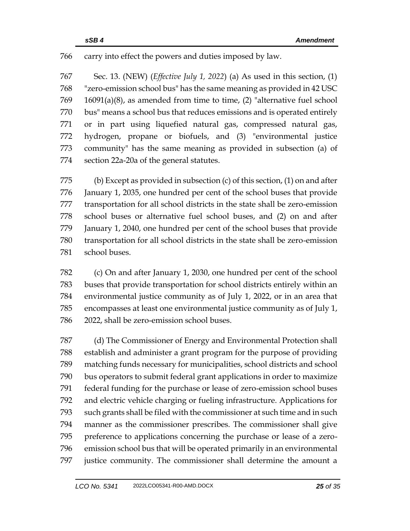## carry into effect the powers and duties imposed by law.

 Sec. 13. (NEW) (*Effective July 1, 2022*) (a) As used in this section, (1) "zero-emission school bus" has the same meaning as provided in 42 USC 16091(a)(8), as amended from time to time, (2) "alternative fuel school bus" means a school bus that reduces emissions and is operated entirely or in part using liquefied natural gas, compressed natural gas, hydrogen, propane or biofuels, and (3) "environmental justice community" has the same meaning as provided in subsection (a) of section 22a-20a of the general statutes.

 (b) Except as provided in subsection (c) of this section, (1) on and after January 1, 2035, one hundred per cent of the school buses that provide transportation for all school districts in the state shall be zero-emission school buses or alternative fuel school buses, and (2) on and after January 1, 2040, one hundred per cent of the school buses that provide transportation for all school districts in the state shall be zero-emission school buses.

 (c) On and after January 1, 2030, one hundred per cent of the school buses that provide transportation for school districts entirely within an environmental justice community as of July 1, 2022, or in an area that encompasses at least one environmental justice community as of July 1, 2022, shall be zero-emission school buses.

 (d) The Commissioner of Energy and Environmental Protection shall establish and administer a grant program for the purpose of providing matching funds necessary for municipalities, school districts and school bus operators to submit federal grant applications in order to maximize federal funding for the purchase or lease of zero-emission school buses and electric vehicle charging or fueling infrastructure. Applications for such grants shall be filed with the commissioner at such time and in such manner as the commissioner prescribes. The commissioner shall give preference to applications concerning the purchase or lease of a zero- emission school bus that will be operated primarily in an environmental justice community. The commissioner shall determine the amount a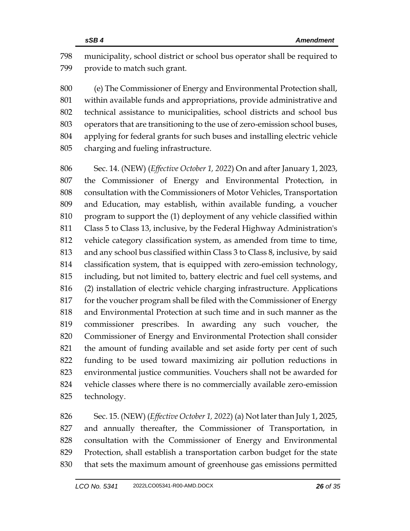municipality, school district or school bus operator shall be required to provide to match such grant.

 (e) The Commissioner of Energy and Environmental Protection shall, within available funds and appropriations, provide administrative and technical assistance to municipalities, school districts and school bus operators that are transitioning to the use of zero-emission school buses, applying for federal grants for such buses and installing electric vehicle charging and fueling infrastructure.

 Sec. 14. (NEW) (*Effective October 1, 2022*) On and after January 1, 2023, the Commissioner of Energy and Environmental Protection, in consultation with the Commissioners of Motor Vehicles, Transportation and Education, may establish, within available funding, a voucher program to support the (1) deployment of any vehicle classified within Class 5 to Class 13, inclusive, by the Federal Highway Administration's vehicle category classification system, as amended from time to time, and any school bus classified within Class 3 to Class 8, inclusive, by said classification system, that is equipped with zero-emission technology, including, but not limited to, battery electric and fuel cell systems, and (2) installation of electric vehicle charging infrastructure. Applications for the voucher program shall be filed with the Commissioner of Energy and Environmental Protection at such time and in such manner as the commissioner prescribes. In awarding any such voucher, the Commissioner of Energy and Environmental Protection shall consider the amount of funding available and set aside forty per cent of such funding to be used toward maximizing air pollution reductions in environmental justice communities. Vouchers shall not be awarded for vehicle classes where there is no commercially available zero-emission technology.

 Sec. 15. (NEW) (*Effective October 1, 2022*) (a) Not later than July 1, 2025, and annually thereafter, the Commissioner of Transportation, in consultation with the Commissioner of Energy and Environmental Protection, shall establish a transportation carbon budget for the state that sets the maximum amount of greenhouse gas emissions permitted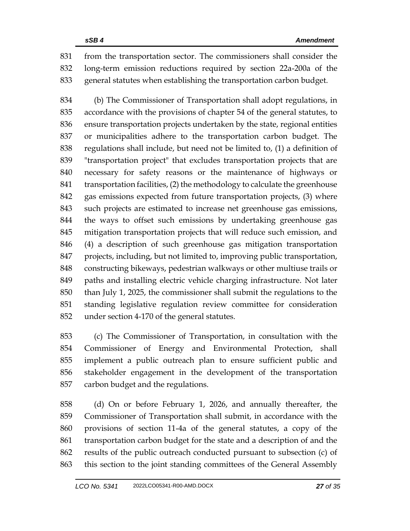from the transportation sector. The commissioners shall consider the long-term emission reductions required by section 22a-200a of the general statutes when establishing the transportation carbon budget.

 (b) The Commissioner of Transportation shall adopt regulations, in accordance with the provisions of chapter 54 of the general statutes, to ensure transportation projects undertaken by the state, regional entities or municipalities adhere to the transportation carbon budget. The regulations shall include, but need not be limited to, (1) a definition of "transportation project" that excludes transportation projects that are necessary for safety reasons or the maintenance of highways or 841 transportation facilities, (2) the methodology to calculate the greenhouse gas emissions expected from future transportation projects, (3) where such projects are estimated to increase net greenhouse gas emissions, the ways to offset such emissions by undertaking greenhouse gas mitigation transportation projects that will reduce such emission, and (4) a description of such greenhouse gas mitigation transportation projects, including, but not limited to, improving public transportation, constructing bikeways, pedestrian walkways or other multiuse trails or paths and installing electric vehicle charging infrastructure. Not later than July 1, 2025, the commissioner shall submit the regulations to the standing legislative regulation review committee for consideration under section 4-170 of the general statutes.

 (c) The Commissioner of Transportation, in consultation with the Commissioner of Energy and Environmental Protection, shall implement a public outreach plan to ensure sufficient public and stakeholder engagement in the development of the transportation carbon budget and the regulations.

 (d) On or before February 1, 2026, and annually thereafter, the Commissioner of Transportation shall submit, in accordance with the provisions of section 11-4a of the general statutes, a copy of the transportation carbon budget for the state and a description of and the results of the public outreach conducted pursuant to subsection (c) of this section to the joint standing committees of the General Assembly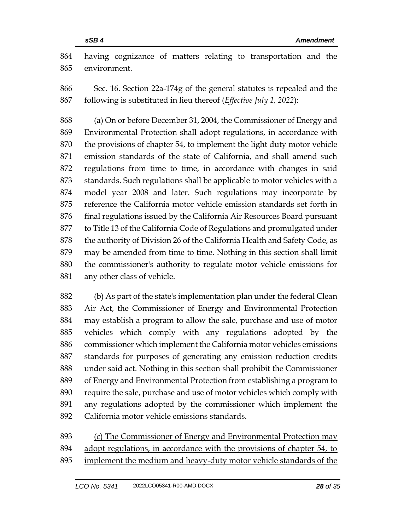having cognizance of matters relating to transportation and the environment.

 Sec. 16. Section 22a-174g of the general statutes is repealed and the following is substituted in lieu thereof (*Effective July 1, 2022*):

 (a) On or before December 31, 2004, the Commissioner of Energy and Environmental Protection shall adopt regulations, in accordance with the provisions of chapter 54, to implement the light duty motor vehicle emission standards of the state of California, and shall amend such regulations from time to time, in accordance with changes in said standards. Such regulations shall be applicable to motor vehicles with a model year 2008 and later. Such regulations may incorporate by reference the California motor vehicle emission standards set forth in 876 final regulations issued by the California Air Resources Board pursuant to Title 13 of the California Code of Regulations and promulgated under 878 the authority of Division 26 of the California Health and Safety Code, as may be amended from time to time. Nothing in this section shall limit the commissioner's authority to regulate motor vehicle emissions for any other class of vehicle.

 (b) As part of the state's implementation plan under the federal Clean Air Act, the Commissioner of Energy and Environmental Protection may establish a program to allow the sale, purchase and use of motor vehicles which comply with any regulations adopted by the commissioner which implement the California motor vehicles emissions standards for purposes of generating any emission reduction credits under said act. Nothing in this section shall prohibit the Commissioner of Energy and Environmental Protection from establishing a program to require the sale, purchase and use of motor vehicles which comply with any regulations adopted by the commissioner which implement the California motor vehicle emissions standards.

 (c) The Commissioner of Energy and Environmental Protection may adopt regulations, in accordance with the provisions of chapter 54, to implement the medium and heavy-duty motor vehicle standards of the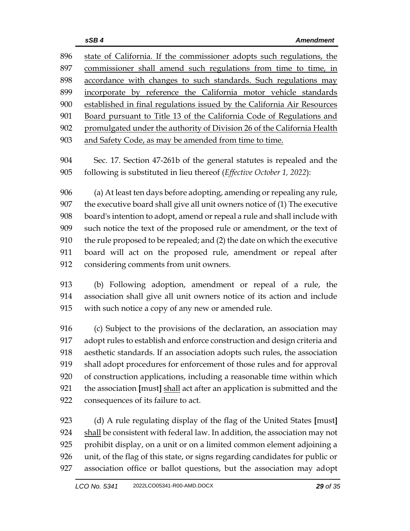| 896 | state of California. If the commissioner adopts such regulations, the      |  |  |
|-----|----------------------------------------------------------------------------|--|--|
| 897 | commissioner shall amend such regulations from time to time, in            |  |  |
| 898 | accordance with changes to such standards. Such regulations may            |  |  |
| 899 | incorporate by reference the California motor vehicle standards            |  |  |
| 900 | established in final regulations issued by the California Air Resources    |  |  |
| 901 | Board pursuant to Title 13 of the California Code of Regulations and       |  |  |
| 902 | promulgated under the authority of Division 26 of the California Health    |  |  |
| 903 | and Safety Code, as may be amended from time to time.                      |  |  |
| 904 | Sec. 17. Section 47-261b of the general statutes is repealed and the       |  |  |
| 905 | following is substituted in lieu thereof (Effective October 1, 2022):      |  |  |
| 906 | (a) At least ten days before adopting, amending or repealing any rule,     |  |  |
| 907 | the executive board shall give all unit owners notice of (1) The executive |  |  |
| 908 | board's intention to adopt, amend or repeal a rule and shall include with  |  |  |
| 909 | such notice the text of the proposed rule or amendment, or the text of     |  |  |
| 910 | the rule proposed to be repealed; and (2) the date on which the executive  |  |  |
| 911 | board will act on the proposed rule, amendment or repeal after             |  |  |
| 912 | considering comments from unit owners.                                     |  |  |
| 913 | (b) Following adoption, amendment or repeal of a rule, the                 |  |  |
| 914 | association shall give all unit owners notice of its action and include    |  |  |
| 915 | with such notice a copy of any new or amended rule.                        |  |  |
| 916 | (c) Subject to the provisions of the declaration, an association may       |  |  |
|     |                                                                            |  |  |

 adopt rules to establish and enforce construction and design criteria and aesthetic standards. If an association adopts such rules, the association shall adopt procedures for enforcement of those rules and for approval of construction applications, including a reasonable time within which the association **[**must**]** shall act after an application is submitted and the consequences of its failure to act.

 (d) A rule regulating display of the flag of the United States **[**must**]** 924 shall be consistent with federal law. In addition, the association may not prohibit display, on a unit or on a limited common element adjoining a unit, of the flag of this state, or signs regarding candidates for public or association office or ballot questions, but the association may adopt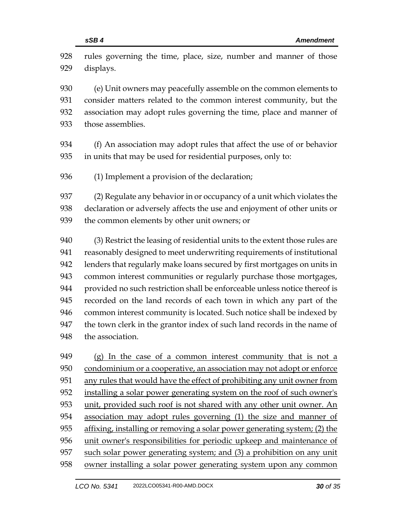| 928 | rules governing the time, place, size, number and manner of those           |
|-----|-----------------------------------------------------------------------------|
| 929 | displays.                                                                   |
| 930 | (e) Unit owners may peacefully assemble on the common elements to           |
| 931 | consider matters related to the common interest community, but the          |
| 932 | association may adopt rules governing the time, place and manner of         |
| 933 | those assemblies.                                                           |
| 934 | (f) An association may adopt rules that affect the use of or behavior       |
| 935 | in units that may be used for residential purposes, only to:                |
| 936 | (1) Implement a provision of the declaration;                               |
| 937 | (2) Regulate any behavior in or occupancy of a unit which violates the      |
| 938 | declaration or adversely affects the use and enjoyment of other units or    |
| 939 | the common elements by other unit owners; or                                |
| 940 | (3) Restrict the leasing of residential units to the extent those rules are |
| 941 | reasonably designed to meet underwriting requirements of institutional      |
| 942 | lenders that regularly make loans secured by first mortgages on units in    |
| 943 | common interest communities or regularly purchase those mortgages,          |
| 944 | provided no such restriction shall be enforceable unless notice thereof is  |
| 945 | recorded on the land records of each town in which any part of the          |
| 946 | common interest community is located. Such notice shall be indexed by       |
| 947 | the town clerk in the grantor index of such land records in the name of     |
| 948 | the association.                                                            |
| 949 | (g) In the case of a common interest community that is not a                |
| 950 | condominium or a cooperative, an association may not adopt or enforce       |
| 951 | any rules that would have the effect of prohibiting any unit owner from     |
| 952 | installing a solar power generating system on the roof of such owner's      |
| 953 | unit, provided such roof is not shared with any other unit owner. An        |
| 954 | association may adopt rules governing (1) the size and manner of            |
| 955 | affixing, installing or removing a solar power generating system; (2) the   |
| 956 | unit owner's responsibilities for periodic upkeep and maintenance of        |
| 957 | such solar power generating system; and (3) a prohibition on any unit       |
| 958 | owner installing a solar power generating system upon any common            |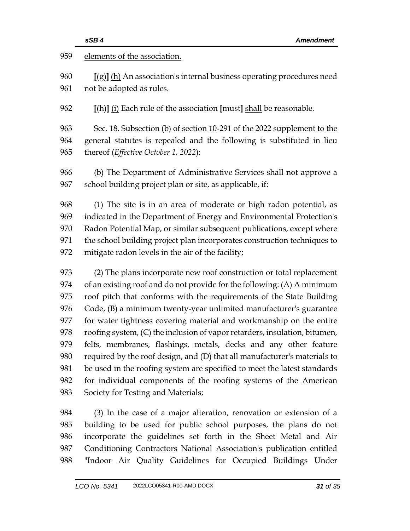|     | sSB4<br><b>Amendment</b>                                                   |  |
|-----|----------------------------------------------------------------------------|--|
| 959 | elements of the association.                                               |  |
| 960 | $[(g)]$ (h) An association's internal business operating procedures need   |  |
| 961 | not be adopted as rules.                                                   |  |
| 962 | [(h)] (i) Each rule of the association [must] shall be reasonable.         |  |
| 963 | Sec. 18. Subsection (b) of section 10-291 of the 2022 supplement to the    |  |
| 964 | general statutes is repealed and the following is substituted in lieu      |  |
| 965 | thereof (Effective October 1, 2022):                                       |  |
| 966 | (b) The Department of Administrative Services shall not approve a          |  |
| 967 | school building project plan or site, as applicable, if:                   |  |
| 968 | (1) The site is in an area of moderate or high radon potential, as         |  |
| 969 | indicated in the Department of Energy and Environmental Protection's       |  |
| 970 | Radon Potential Map, or similar subsequent publications, except where      |  |
| 971 | the school building project plan incorporates construction techniques to   |  |
| 972 | mitigate radon levels in the air of the facility;                          |  |
| 973 | (2) The plans incorporate new roof construction or total replacement       |  |
| 974 | of an existing roof and do not provide for the following: (A) A minimum    |  |
| 975 | roof pitch that conforms with the requirements of the State Building       |  |
| 976 | Code, (B) a minimum twenty-year unlimited manufacturer's guarantee         |  |
| 977 | for water tightness covering material and workmanship on the entire        |  |
| 978 | roofing system, (C) the inclusion of vapor retarders, insulation, bitumen, |  |
| 979 | felts, membranes, flashings, metals, decks and any other feature           |  |
| 980 | required by the roof design, and (D) that all manufacturer's materials to  |  |
| 981 | be used in the roofing system are specified to meet the latest standards   |  |
| 982 | for individual components of the roofing systems of the American           |  |
| 983 | Society for Testing and Materials;                                         |  |
| 984 | (3) In the case of a major alteration, renovation or extension of a        |  |
| 985 | building to be used for public school purposes, the plans do not           |  |
| 986 | incorporate the guidelines set forth in the Sheet Metal and Air            |  |
| 987 | Conditioning Contractors National Association's publication entitled       |  |
| 988 | "Indoor Air Quality Guidelines for Occupied Buildings Under                |  |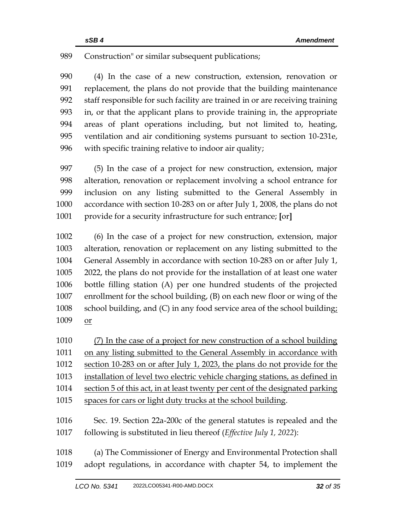### Construction" or similar subsequent publications;

 (4) In the case of a new construction, extension, renovation or replacement, the plans do not provide that the building maintenance staff responsible for such facility are trained in or are receiving training in, or that the applicant plans to provide training in, the appropriate areas of plant operations including, but not limited to, heating, ventilation and air conditioning systems pursuant to section 10-231e, with specific training relative to indoor air quality;

 (5) In the case of a project for new construction, extension, major alteration, renovation or replacement involving a school entrance for inclusion on any listing submitted to the General Assembly in accordance with section 10-283 on or after July 1, 2008, the plans do not provide for a security infrastructure for such entrance; **[**or**]**

 (6) In the case of a project for new construction, extension, major alteration, renovation or replacement on any listing submitted to the General Assembly in accordance with section 10-283 on or after July 1, 2022, the plans do not provide for the installation of at least one water bottle filling station (A) per one hundred students of the projected enrollment for the school building, (B) on each new floor or wing of the school building, and (C) in any food service area of the school building; or

 (7) In the case of a project for new construction of a school building 1011 on any listing submitted to the General Assembly in accordance with section 10-283 on or after July 1, 2023, the plans do not provide for the installation of level two electric vehicle charging stations, as defined in section 5 of this act, in at least twenty per cent of the designated parking spaces for cars or light duty trucks at the school building. Sec. 19. Section 22a-200c of the general statutes is repealed and the following is substituted in lieu thereof (*Effective July 1, 2022*):

## (a) The Commissioner of Energy and Environmental Protection shall adopt regulations, in accordance with chapter 54, to implement the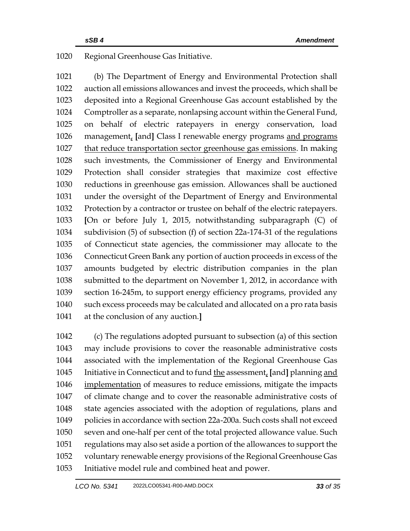Regional Greenhouse Gas Initiative.

 (b) The Department of Energy and Environmental Protection shall auction all emissions allowances and invest the proceeds, which shall be deposited into a Regional Greenhouse Gas account established by the Comptroller as a separate, nonlapsing account within the General Fund, on behalf of electric ratepayers in energy conservation, load management, **[**and**]** Class I renewable energy programs and programs that reduce transportation sector greenhouse gas emissions. In making such investments, the Commissioner of Energy and Environmental Protection shall consider strategies that maximize cost effective reductions in greenhouse gas emission. Allowances shall be auctioned under the oversight of the Department of Energy and Environmental Protection by a contractor or trustee on behalf of the electric ratepayers. **[**On or before July 1, 2015, notwithstanding subparagraph (C) of subdivision (5) of subsection (f) of section 22a-174-31 of the regulations of Connecticut state agencies, the commissioner may allocate to the Connecticut Green Bank any portion of auction proceeds in excess of the amounts budgeted by electric distribution companies in the plan submitted to the department on November 1, 2012, in accordance with section 16-245m, to support energy efficiency programs, provided any such excess proceeds may be calculated and allocated on a pro rata basis at the conclusion of any auction.**]**

 (c) The regulations adopted pursuant to subsection (a) of this section may include provisions to cover the reasonable administrative costs associated with the implementation of the Regional Greenhouse Gas Initiative in Connecticut and to fund the assessment, **[**and**]** planning and implementation of measures to reduce emissions, mitigate the impacts of climate change and to cover the reasonable administrative costs of state agencies associated with the adoption of regulations, plans and policies in accordance with section 22a-200a. Such costs shall not exceed seven and one-half per cent of the total projected allowance value. Such regulations may also set aside a portion of the allowances to support the voluntary renewable energy provisions of the Regional Greenhouse Gas Initiative model rule and combined heat and power.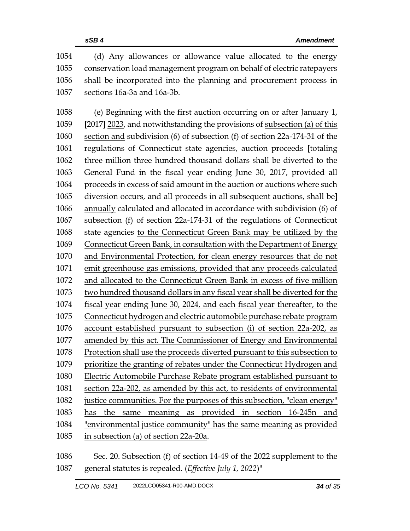(d) Any allowances or allowance value allocated to the energy conservation load management program on behalf of electric ratepayers shall be incorporated into the planning and procurement process in sections 16a-3a and 16a-3b.

 (e) Beginning with the first auction occurring on or after January 1, **[**2017**]** 2023, and notwithstanding the provisions of subsection (a) of this section and subdivision (6) of subsection (f) of section 22a-174-31 of the regulations of Connecticut state agencies, auction proceeds **[**totaling three million three hundred thousand dollars shall be diverted to the General Fund in the fiscal year ending June 30, 2017, provided all proceeds in excess of said amount in the auction or auctions where such diversion occurs, and all proceeds in all subsequent auctions, shall be**]** annually calculated and allocated in accordance with subdivision (6) of subsection (f) of section 22a-174-31 of the regulations of Connecticut state agencies to the Connecticut Green Bank may be utilized by the Connecticut Green Bank, in consultation with the Department of Energy and Environmental Protection, for clean energy resources that do not emit greenhouse gas emissions, provided that any proceeds calculated and allocated to the Connecticut Green Bank in excess of five million two hundred thousand dollars in any fiscal year shall be diverted for the fiscal year ending June 30, 2024, and each fiscal year thereafter, to the Connecticut hydrogen and electric automobile purchase rebate program account established pursuant to subsection (i) of section 22a-202, as amended by this act. The Commissioner of Energy and Environmental Protection shall use the proceeds diverted pursuant to this subsection to prioritize the granting of rebates under the Connecticut Hydrogen and Electric Automobile Purchase Rebate program established pursuant to section 22a-202, as amended by this act, to residents of environmental justice communities. For the purposes of this subsection, "clean energy" has the same meaning as provided in section 16-245n and "environmental justice community" has the same meaning as provided in subsection (a) of section 22a-20a.

 Sec. 20. Subsection (f) of section 14-49 of the 2022 supplement to the general statutes is repealed. (*Effective July 1, 2022*)"